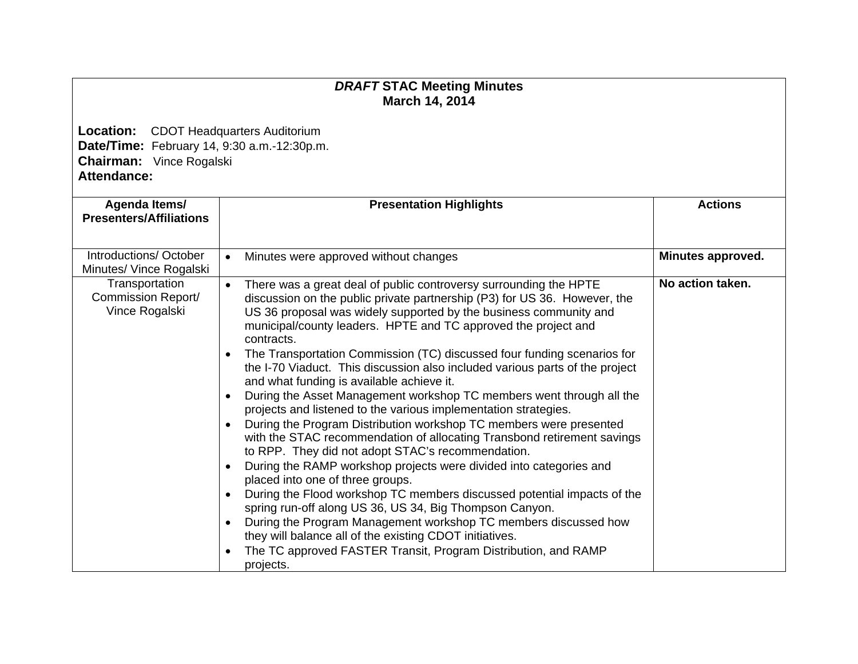## *DRAFT* **STAC Meeting Minutes March 14, 2014**

**Location:** CDOT Headquarters Auditorium **Date/Time:** February 14, 9:30 a.m.-12:30p.m. **Chairman:** Vince Rogalski **Attendance:** 

| Agenda Items/<br><b>Presenters/Affiliations</b>               | <b>Presentation Highlights</b>                                                                                                                                                                                                                                                                                                                                                                                                                                                                                                                                                                                                                                                                                                                                                                                                                                                                                                                                                                                                                                                                                                                                                                                                                                                                                                                                                                          | <b>Actions</b>    |
|---------------------------------------------------------------|---------------------------------------------------------------------------------------------------------------------------------------------------------------------------------------------------------------------------------------------------------------------------------------------------------------------------------------------------------------------------------------------------------------------------------------------------------------------------------------------------------------------------------------------------------------------------------------------------------------------------------------------------------------------------------------------------------------------------------------------------------------------------------------------------------------------------------------------------------------------------------------------------------------------------------------------------------------------------------------------------------------------------------------------------------------------------------------------------------------------------------------------------------------------------------------------------------------------------------------------------------------------------------------------------------------------------------------------------------------------------------------------------------|-------------------|
| Introductions/October<br>Minutes/ Vince Rogalski              | Minutes were approved without changes<br>$\bullet$                                                                                                                                                                                                                                                                                                                                                                                                                                                                                                                                                                                                                                                                                                                                                                                                                                                                                                                                                                                                                                                                                                                                                                                                                                                                                                                                                      | Minutes approved. |
| Transportation<br><b>Commission Report/</b><br>Vince Rogalski | There was a great deal of public controversy surrounding the HPTE<br>$\bullet$<br>discussion on the public private partnership (P3) for US 36. However, the<br>US 36 proposal was widely supported by the business community and<br>municipal/county leaders. HPTE and TC approved the project and<br>contracts.<br>The Transportation Commission (TC) discussed four funding scenarios for<br>$\bullet$<br>the I-70 Viaduct. This discussion also included various parts of the project<br>and what funding is available achieve it.<br>During the Asset Management workshop TC members went through all the<br>$\bullet$<br>projects and listened to the various implementation strategies.<br>During the Program Distribution workshop TC members were presented<br>$\bullet$<br>with the STAC recommendation of allocating Transbond retirement savings<br>to RPP. They did not adopt STAC's recommendation.<br>During the RAMP workshop projects were divided into categories and<br>placed into one of three groups.<br>During the Flood workshop TC members discussed potential impacts of the<br>$\bullet$<br>spring run-off along US 36, US 34, Big Thompson Canyon.<br>During the Program Management workshop TC members discussed how<br>$\bullet$<br>they will balance all of the existing CDOT initiatives.<br>The TC approved FASTER Transit, Program Distribution, and RAMP<br>projects. | No action taken.  |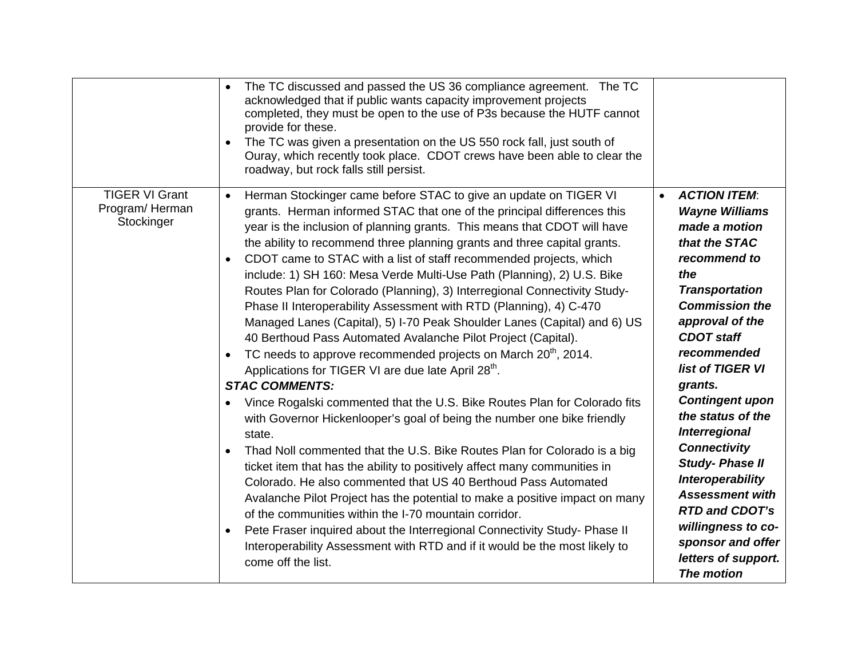|                                                       | The TC discussed and passed the US 36 compliance agreement. The TC<br>$\bullet$<br>acknowledged that if public wants capacity improvement projects<br>completed, they must be open to the use of P3s because the HUTF cannot<br>provide for these.<br>The TC was given a presentation on the US 550 rock fall, just south of<br>Ouray, which recently took place. CDOT crews have been able to clear the<br>roadway, but rock falls still persist.                                                                                                                                                                                                                                                                                                                                                                                                                                                                                                                                                                                                                                                                                                                                                                                                                                                                                                                                                                                                                                                                                                                                                                                                                                                                   |                                                                                                                                                                                                                                                                                                                                                                                                                                                                                                                                                        |
|-------------------------------------------------------|----------------------------------------------------------------------------------------------------------------------------------------------------------------------------------------------------------------------------------------------------------------------------------------------------------------------------------------------------------------------------------------------------------------------------------------------------------------------------------------------------------------------------------------------------------------------------------------------------------------------------------------------------------------------------------------------------------------------------------------------------------------------------------------------------------------------------------------------------------------------------------------------------------------------------------------------------------------------------------------------------------------------------------------------------------------------------------------------------------------------------------------------------------------------------------------------------------------------------------------------------------------------------------------------------------------------------------------------------------------------------------------------------------------------------------------------------------------------------------------------------------------------------------------------------------------------------------------------------------------------------------------------------------------------------------------------------------------------|--------------------------------------------------------------------------------------------------------------------------------------------------------------------------------------------------------------------------------------------------------------------------------------------------------------------------------------------------------------------------------------------------------------------------------------------------------------------------------------------------------------------------------------------------------|
| <b>TIGER VI Grant</b><br>Program/Herman<br>Stockinger | Herman Stockinger came before STAC to give an update on TIGER VI<br>$\bullet$<br>grants. Herman informed STAC that one of the principal differences this<br>year is the inclusion of planning grants. This means that CDOT will have<br>the ability to recommend three planning grants and three capital grants.<br>CDOT came to STAC with a list of staff recommended projects, which<br>$\bullet$<br>include: 1) SH 160: Mesa Verde Multi-Use Path (Planning), 2) U.S. Bike<br>Routes Plan for Colorado (Planning), 3) Interregional Connectivity Study-<br>Phase II Interoperability Assessment with RTD (Planning), 4) C-470<br>Managed Lanes (Capital), 5) I-70 Peak Shoulder Lanes (Capital) and 6) US<br>40 Berthoud Pass Automated Avalanche Pilot Project (Capital).<br>TC needs to approve recommended projects on March 20 <sup>th</sup> , 2014.<br>$\bullet$<br>Applications for TIGER VI are due late April 28 <sup>th</sup> .<br><b>STAC COMMENTS:</b><br>Vince Rogalski commented that the U.S. Bike Routes Plan for Colorado fits<br>with Governor Hickenlooper's goal of being the number one bike friendly<br>state.<br>Thad Noll commented that the U.S. Bike Routes Plan for Colorado is a big<br>$\bullet$<br>ticket item that has the ability to positively affect many communities in<br>Colorado. He also commented that US 40 Berthoud Pass Automated<br>Avalanche Pilot Project has the potential to make a positive impact on many<br>of the communities within the I-70 mountain corridor.<br>Pete Fraser inquired about the Interregional Connectivity Study- Phase II<br>$\bullet$<br>Interoperability Assessment with RTD and if it would be the most likely to<br>come off the list. | <b>ACTION ITEM:</b><br>$\bullet$<br><b>Wayne Williams</b><br>made a motion<br>that the STAC<br>recommend to<br>the<br><b>Transportation</b><br><b>Commission the</b><br>approval of the<br><b>CDOT</b> staff<br>recommended<br>list of TIGER VI<br>grants.<br><b>Contingent upon</b><br>the status of the<br><b>Interregional</b><br><b>Connectivity</b><br><b>Study-Phase II</b><br><b>Interoperability</b><br><b>Assessment with</b><br><b>RTD and CDOT's</b><br>willingness to co-<br>sponsor and offer<br>letters of support.<br><b>The motion</b> |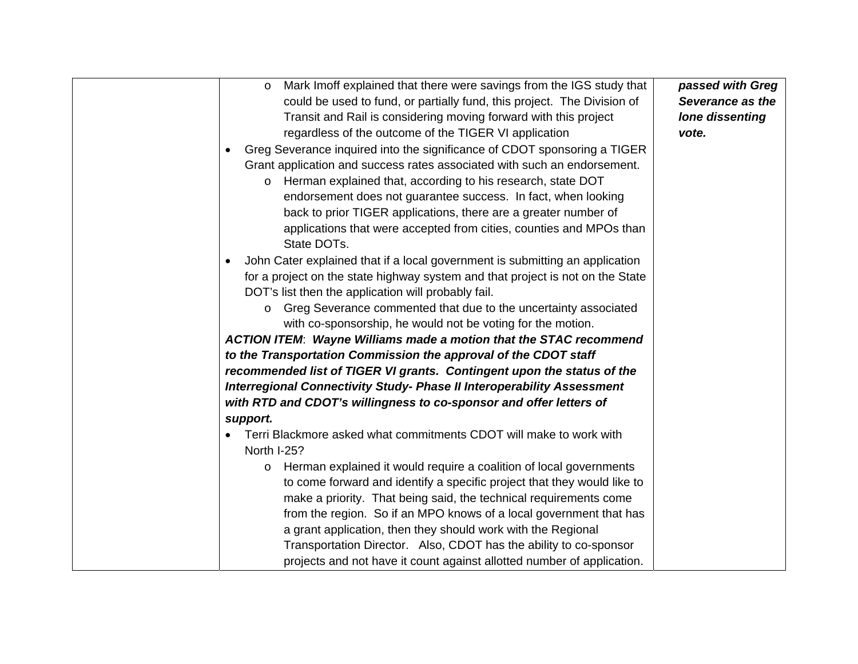| Mark Imoff explained that there were savings from the IGS study that<br>$\circ$ | passed with Greg |
|---------------------------------------------------------------------------------|------------------|
| could be used to fund, or partially fund, this project. The Division of         | Severance as the |
| Transit and Rail is considering moving forward with this project                | lone dissenting  |
| regardless of the outcome of the TIGER VI application                           | vote.            |
| Greg Severance inquired into the significance of CDOT sponsoring a TIGER        |                  |
| Grant application and success rates associated with such an endorsement.        |                  |
| Herman explained that, according to his research, state DOT                     |                  |
| endorsement does not guarantee success. In fact, when looking                   |                  |
| back to prior TIGER applications, there are a greater number of                 |                  |
| applications that were accepted from cities, counties and MPOs than             |                  |
| State DOTs.                                                                     |                  |
| John Cater explained that if a local government is submitting an application    |                  |
| for a project on the state highway system and that project is not on the State  |                  |
| DOT's list then the application will probably fail.                             |                  |
| Greg Severance commented that due to the uncertainty associated<br>$\circ$      |                  |
| with co-sponsorship, he would not be voting for the motion.                     |                  |
| <b>ACTION ITEM: Wayne Williams made a motion that the STAC recommend</b>        |                  |
| to the Transportation Commission the approval of the CDOT staff                 |                  |
| recommended list of TIGER VI grants. Contingent upon the status of the          |                  |
| Interregional Connectivity Study- Phase II Interoperability Assessment          |                  |
| with RTD and CDOT's willingness to co-sponsor and offer letters of              |                  |
| support.                                                                        |                  |
| Terri Blackmore asked what commitments CDOT will make to work with              |                  |
| North I-25?                                                                     |                  |
| Herman explained it would require a coalition of local governments<br>$\circ$   |                  |
| to come forward and identify a specific project that they would like to         |                  |
| make a priority. That being said, the technical requirements come               |                  |
| from the region. So if an MPO knows of a local government that has              |                  |
| a grant application, then they should work with the Regional                    |                  |
| Transportation Director. Also, CDOT has the ability to co-sponsor               |                  |
| projects and not have it count against allotted number of application.          |                  |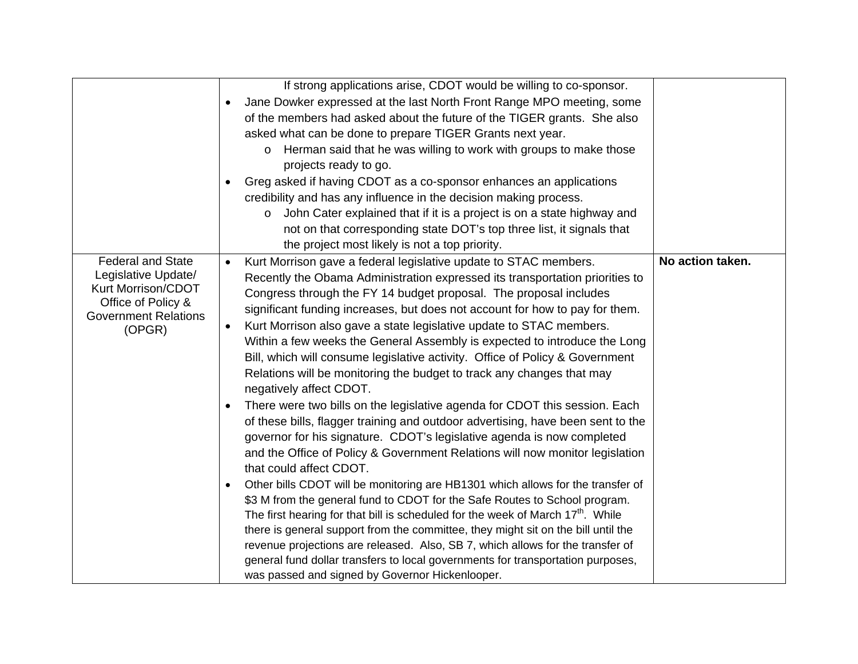|                             | If strong applications arise, CDOT would be willing to co-sponsor.                           |                  |
|-----------------------------|----------------------------------------------------------------------------------------------|------------------|
|                             | Jane Dowker expressed at the last North Front Range MPO meeting, some                        |                  |
|                             | of the members had asked about the future of the TIGER grants. She also                      |                  |
|                             | asked what can be done to prepare TIGER Grants next year.                                    |                  |
|                             | Herman said that he was willing to work with groups to make those<br>$\circ$                 |                  |
|                             | projects ready to go.                                                                        |                  |
|                             | Greg asked if having CDOT as a co-sponsor enhances an applications                           |                  |
|                             | credibility and has any influence in the decision making process.                            |                  |
|                             | John Cater explained that if it is a project is on a state highway and                       |                  |
|                             | not on that corresponding state DOT's top three list, it signals that                        |                  |
|                             | the project most likely is not a top priority.                                               |                  |
| <b>Federal and State</b>    | Kurt Morrison gave a federal legislative update to STAC members.<br>$\bullet$                | No action taken. |
| Legislative Update/         | Recently the Obama Administration expressed its transportation priorities to                 |                  |
| Kurt Morrison/CDOT          | Congress through the FY 14 budget proposal. The proposal includes                            |                  |
| Office of Policy &          | significant funding increases, but does not account for how to pay for them.                 |                  |
| <b>Government Relations</b> | Kurt Morrison also gave a state legislative update to STAC members.<br>$\bullet$             |                  |
| (OPGR)                      | Within a few weeks the General Assembly is expected to introduce the Long                    |                  |
|                             | Bill, which will consume legislative activity. Office of Policy & Government                 |                  |
|                             | Relations will be monitoring the budget to track any changes that may                        |                  |
|                             |                                                                                              |                  |
|                             | negatively affect CDOT.                                                                      |                  |
|                             | There were two bills on the legislative agenda for CDOT this session. Each<br>$\bullet$      |                  |
|                             | of these bills, flagger training and outdoor advertising, have been sent to the              |                  |
|                             | governor for his signature. CDOT's legislative agenda is now completed                       |                  |
|                             | and the Office of Policy & Government Relations will now monitor legislation                 |                  |
|                             | that could affect CDOT.                                                                      |                  |
|                             | Other bills CDOT will be monitoring are HB1301 which allows for the transfer of<br>$\bullet$ |                  |
|                             | \$3 M from the general fund to CDOT for the Safe Routes to School program.                   |                  |
|                             | The first hearing for that bill is scheduled for the week of March $17th$ . While            |                  |
|                             | there is general support from the committee, they might sit on the bill until the            |                  |
|                             | revenue projections are released. Also, SB 7, which allows for the transfer of               |                  |
|                             | general fund dollar transfers to local governments for transportation purposes,              |                  |
|                             | was passed and signed by Governor Hickenlooper.                                              |                  |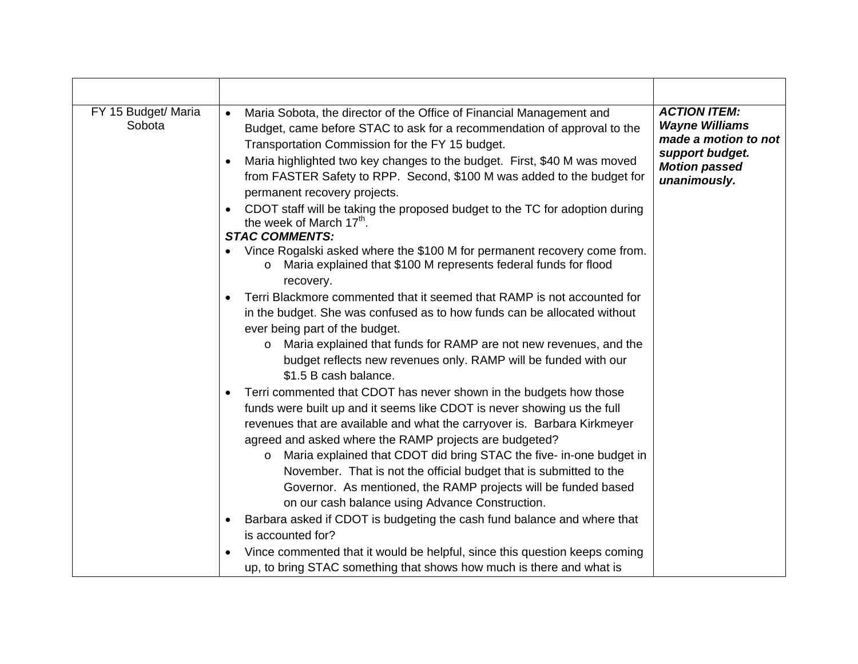| FY 15 Budget/ Maria<br>Sobota | Maria Sobota, the director of the Office of Financial Management and<br>$\bullet$<br>Budget, came before STAC to ask for a recommendation of approval to the<br>Transportation Commission for the FY 15 budget.<br>Maria highlighted two key changes to the budget. First, \$40 M was moved<br>from FASTER Safety to RPP. Second, \$100 M was added to the budget for<br>permanent recovery projects.<br>CDOT staff will be taking the proposed budget to the TC for adoption during<br>the week of March 17 <sup>th</sup> .<br><b>STAC COMMENTS:</b><br>Vince Rogalski asked where the \$100 M for permanent recovery come from.<br>Maria explained that \$100 M represents federal funds for flood<br>O<br>recovery.<br>Terri Blackmore commented that it seemed that RAMP is not accounted for<br>in the budget. She was confused as to how funds can be allocated without<br>ever being part of the budget.<br>Maria explained that funds for RAMP are not new revenues, and the<br>$\circ$<br>budget reflects new revenues only. RAMP will be funded with our<br>\$1.5 B cash balance.<br>Terri commented that CDOT has never shown in the budgets how those<br>funds were built up and it seems like CDOT is never showing us the full<br>revenues that are available and what the carryover is. Barbara Kirkmeyer | <b>ACTION ITEM:</b><br><b>Wayne Williams</b><br>made a motion to not<br>support budget.<br><b>Motion passed</b><br>unanimously. |
|-------------------------------|--------------------------------------------------------------------------------------------------------------------------------------------------------------------------------------------------------------------------------------------------------------------------------------------------------------------------------------------------------------------------------------------------------------------------------------------------------------------------------------------------------------------------------------------------------------------------------------------------------------------------------------------------------------------------------------------------------------------------------------------------------------------------------------------------------------------------------------------------------------------------------------------------------------------------------------------------------------------------------------------------------------------------------------------------------------------------------------------------------------------------------------------------------------------------------------------------------------------------------------------------------------------------------------------------------------------------|---------------------------------------------------------------------------------------------------------------------------------|
|                               | agreed and asked where the RAMP projects are budgeted?<br>Maria explained that CDOT did bring STAC the five- in-one budget in<br>$\circ$                                                                                                                                                                                                                                                                                                                                                                                                                                                                                                                                                                                                                                                                                                                                                                                                                                                                                                                                                                                                                                                                                                                                                                                 |                                                                                                                                 |
|                               | November. That is not the official budget that is submitted to the<br>Governor. As mentioned, the RAMP projects will be funded based<br>on our cash balance using Advance Construction.                                                                                                                                                                                                                                                                                                                                                                                                                                                                                                                                                                                                                                                                                                                                                                                                                                                                                                                                                                                                                                                                                                                                  |                                                                                                                                 |
|                               | Barbara asked if CDOT is budgeting the cash fund balance and where that<br>is accounted for?                                                                                                                                                                                                                                                                                                                                                                                                                                                                                                                                                                                                                                                                                                                                                                                                                                                                                                                                                                                                                                                                                                                                                                                                                             |                                                                                                                                 |
|                               | Vince commented that it would be helpful, since this question keeps coming<br>up, to bring STAC something that shows how much is there and what is                                                                                                                                                                                                                                                                                                                                                                                                                                                                                                                                                                                                                                                                                                                                                                                                                                                                                                                                                                                                                                                                                                                                                                       |                                                                                                                                 |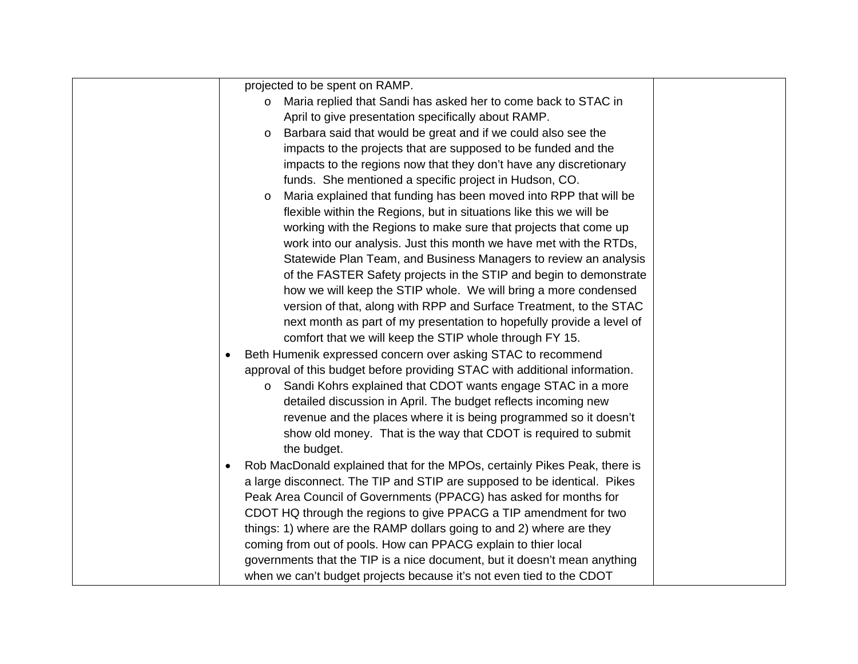| projected to be spent on RAMP.                                               |  |
|------------------------------------------------------------------------------|--|
| Maria replied that Sandi has asked her to come back to STAC in<br>$\circ$    |  |
| April to give presentation specifically about RAMP.                          |  |
| Barbara said that would be great and if we could also see the<br>$\circ$     |  |
| impacts to the projects that are supposed to be funded and the               |  |
| impacts to the regions now that they don't have any discretionary            |  |
| funds. She mentioned a specific project in Hudson, CO.                       |  |
| Maria explained that funding has been moved into RPP that will be<br>$\circ$ |  |
| flexible within the Regions, but in situations like this we will be          |  |
| working with the Regions to make sure that projects that come up             |  |
| work into our analysis. Just this month we have met with the RTDs,           |  |
| Statewide Plan Team, and Business Managers to review an analysis             |  |
| of the FASTER Safety projects in the STIP and begin to demonstrate           |  |
| how we will keep the STIP whole. We will bring a more condensed              |  |
| version of that, along with RPP and Surface Treatment, to the STAC           |  |
| next month as part of my presentation to hopefully provide a level of        |  |
| comfort that we will keep the STIP whole through FY 15.                      |  |
| Beth Humenik expressed concern over asking STAC to recommend                 |  |
| approval of this budget before providing STAC with additional information.   |  |
| Sandi Kohrs explained that CDOT wants engage STAC in a more<br>$\circ$       |  |
| detailed discussion in April. The budget reflects incoming new               |  |
| revenue and the places where it is being programmed so it doesn't            |  |
| show old money. That is the way that CDOT is required to submit              |  |
| the budget.                                                                  |  |
| Rob MacDonald explained that for the MPOs, certainly Pikes Peak, there is    |  |
| a large disconnect. The TIP and STIP are supposed to be identical. Pikes     |  |
| Peak Area Council of Governments (PPACG) has asked for months for            |  |
| CDOT HQ through the regions to give PPACG a TIP amendment for two            |  |
| things: 1) where are the RAMP dollars going to and 2) where are they         |  |
| coming from out of pools. How can PPACG explain to thier local               |  |
| governments that the TIP is a nice document, but it doesn't mean anything    |  |
| when we can't budget projects because it's not even tied to the CDOT         |  |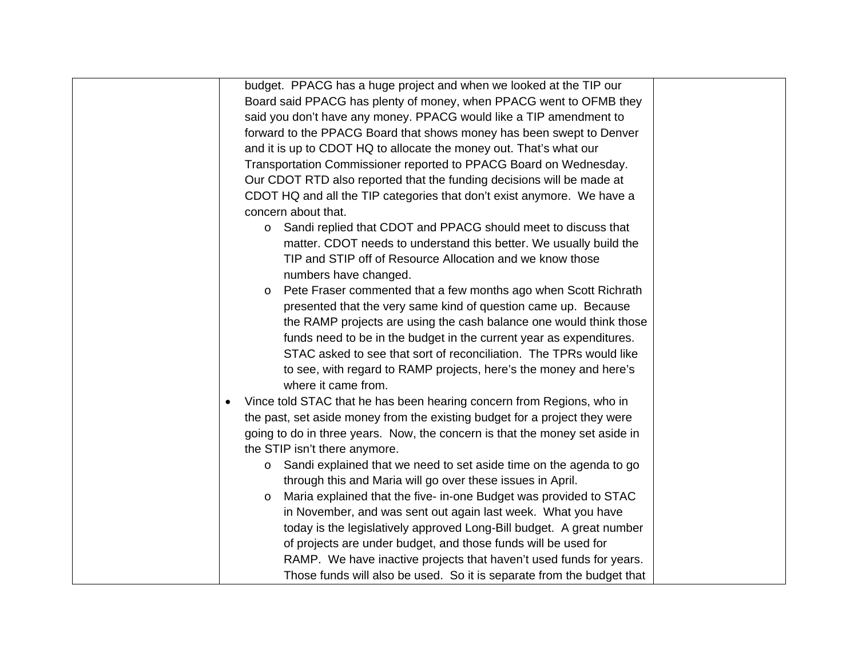| budget. PPACG has a huge project and when we looked at the TIP our                 |  |
|------------------------------------------------------------------------------------|--|
| Board said PPACG has plenty of money, when PPACG went to OFMB they                 |  |
| said you don't have any money. PPACG would like a TIP amendment to                 |  |
| forward to the PPACG Board that shows money has been swept to Denver               |  |
| and it is up to CDOT HQ to allocate the money out. That's what our                 |  |
| Transportation Commissioner reported to PPACG Board on Wednesday.                  |  |
| Our CDOT RTD also reported that the funding decisions will be made at              |  |
| CDOT HQ and all the TIP categories that don't exist anymore. We have a             |  |
| concern about that.                                                                |  |
| Sandi replied that CDOT and PPACG should meet to discuss that<br>$\circ$           |  |
| matter. CDOT needs to understand this better. We usually build the                 |  |
| TIP and STIP off of Resource Allocation and we know those                          |  |
| numbers have changed.                                                              |  |
| Pete Fraser commented that a few months ago when Scott Richrath<br>$\circ$         |  |
| presented that the very same kind of question came up. Because                     |  |
| the RAMP projects are using the cash balance one would think those                 |  |
| funds need to be in the budget in the current year as expenditures.                |  |
| STAC asked to see that sort of reconciliation. The TPRs would like                 |  |
| to see, with regard to RAMP projects, here's the money and here's                  |  |
| where it came from.                                                                |  |
| Vince told STAC that he has been hearing concern from Regions, who in<br>$\bullet$ |  |
| the past, set aside money from the existing budget for a project they were         |  |
| going to do in three years. Now, the concern is that the money set aside in        |  |
| the STIP isn't there anymore.                                                      |  |
| Sandi explained that we need to set aside time on the agenda to go<br>$\circ$      |  |
| through this and Maria will go over these issues in April.                         |  |
| Maria explained that the five- in-one Budget was provided to STAC<br>$\circ$       |  |
| in November, and was sent out again last week. What you have                       |  |
| today is the legislatively approved Long-Bill budget. A great number               |  |
| of projects are under budget, and those funds will be used for                     |  |
| RAMP. We have inactive projects that haven't used funds for years.                 |  |
| Those funds will also be used. So it is separate from the budget that              |  |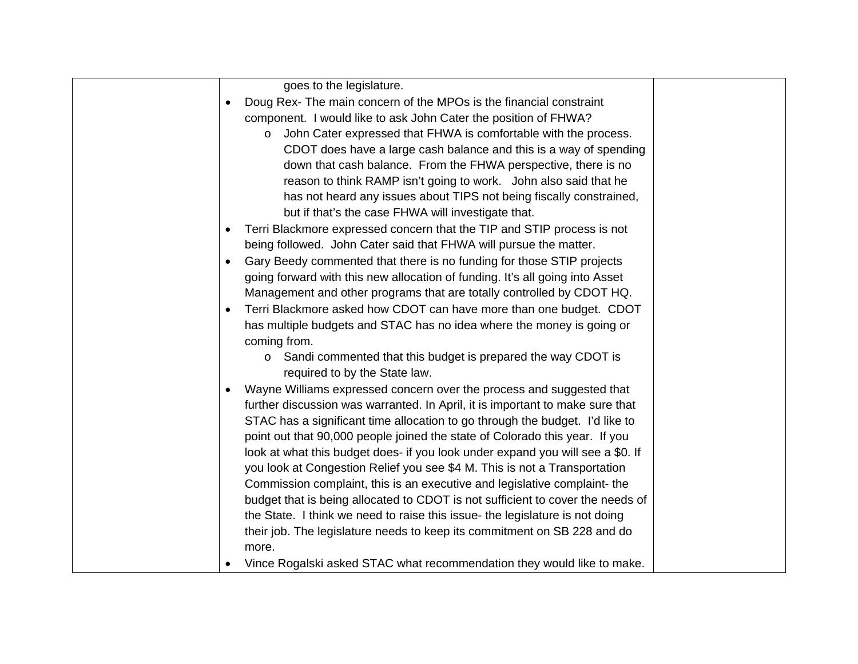| goes to the legislature.                                                       |  |
|--------------------------------------------------------------------------------|--|
| Doug Rex- The main concern of the MPOs is the financial constraint             |  |
| component. I would like to ask John Cater the position of FHWA?                |  |
| John Cater expressed that FHWA is comfortable with the process.<br>$\circ$     |  |
| CDOT does have a large cash balance and this is a way of spending              |  |
| down that cash balance. From the FHWA perspective, there is no                 |  |
| reason to think RAMP isn't going to work. John also said that he               |  |
| has not heard any issues about TIPS not being fiscally constrained,            |  |
| but if that's the case FHWA will investigate that.                             |  |
| Terri Blackmore expressed concern that the TIP and STIP process is not         |  |
| being followed. John Cater said that FHWA will pursue the matter.              |  |
| Gary Beedy commented that there is no funding for those STIP projects          |  |
| going forward with this new allocation of funding. It's all going into Asset   |  |
| Management and other programs that are totally controlled by CDOT HQ.          |  |
| Terri Blackmore asked how CDOT can have more than one budget. CDOT             |  |
| has multiple budgets and STAC has no idea where the money is going or          |  |
| coming from.                                                                   |  |
| Sandi commented that this budget is prepared the way CDOT is<br>$\circ$        |  |
| required to by the State law.                                                  |  |
| Wayne Williams expressed concern over the process and suggested that           |  |
| further discussion was warranted. In April, it is important to make sure that  |  |
| STAC has a significant time allocation to go through the budget. I'd like to   |  |
| point out that 90,000 people joined the state of Colorado this year. If you    |  |
| look at what this budget does- if you look under expand you will see a \$0. If |  |
| you look at Congestion Relief you see \$4 M. This is not a Transportation      |  |
| Commission complaint, this is an executive and legislative complaint- the      |  |
| budget that is being allocated to CDOT is not sufficient to cover the needs of |  |
| the State. I think we need to raise this issue- the legislature is not doing   |  |
| their job. The legislature needs to keep its commitment on SB 228 and do       |  |
| more.                                                                          |  |
| Vince Rogalski asked STAC what recommendation they would like to make.         |  |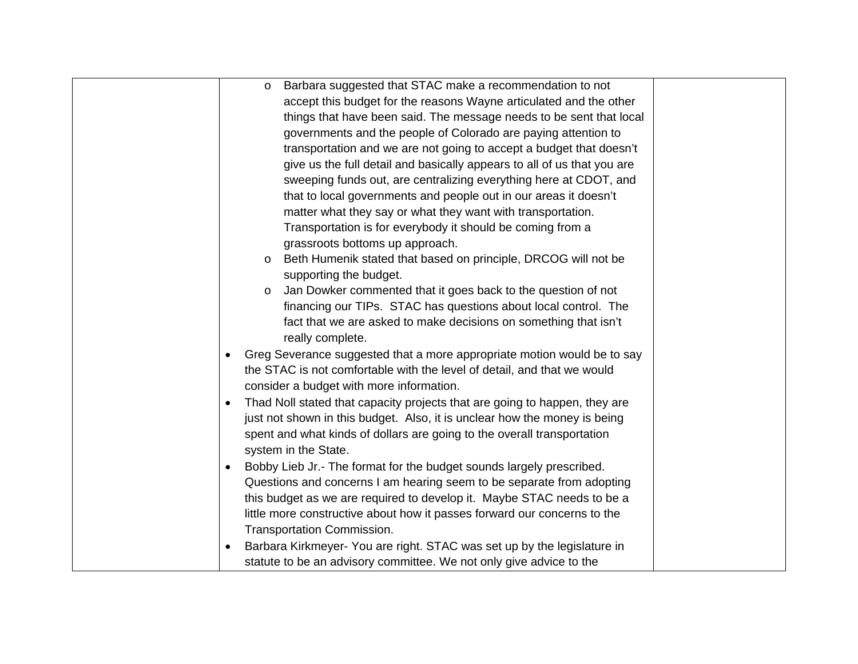|           | Barbara suggested that STAC make a recommendation to not<br>O              |
|-----------|----------------------------------------------------------------------------|
|           | accept this budget for the reasons Wayne articulated and the other         |
|           | things that have been said. The message needs to be sent that local        |
|           | governments and the people of Colorado are paying attention to             |
|           | transportation and we are not going to accept a budget that doesn't        |
|           | give us the full detail and basically appears to all of us that you are    |
|           | sweeping funds out, are centralizing everything here at CDOT, and          |
|           | that to local governments and people out in our areas it doesn't           |
|           | matter what they say or what they want with transportation.                |
|           | Transportation is for everybody it should be coming from a                 |
|           | grassroots bottoms up approach.                                            |
|           | Beth Humenik stated that based on principle, DRCOG will not be<br>$\circ$  |
|           | supporting the budget.                                                     |
|           | Jan Dowker commented that it goes back to the question of not<br>$\circ$   |
|           | financing our TIPs. STAC has questions about local control. The            |
|           | fact that we are asked to make decisions on something that isn't           |
|           | really complete.                                                           |
|           | Greg Severance suggested that a more appropriate motion would be to say    |
|           | the STAC is not comfortable with the level of detail, and that we would    |
|           | consider a budget with more information.                                   |
| $\bullet$ | Thad Noll stated that capacity projects that are going to happen, they are |
|           | just not shown in this budget. Also, it is unclear how the money is being  |
|           | spent and what kinds of dollars are going to the overall transportation    |
|           | system in the State.                                                       |
|           | Bobby Lieb Jr.- The format for the budget sounds largely prescribed.       |
|           | Questions and concerns I am hearing seem to be separate from adopting      |
|           | this budget as we are required to develop it. Maybe STAC needs to be a     |
|           | little more constructive about how it passes forward our concerns to the   |
|           | Transportation Commission.                                                 |
|           | Barbara Kirkmeyer- You are right. STAC was set up by the legislature in    |
|           | statute to be an advisory committee. We not only give advice to the        |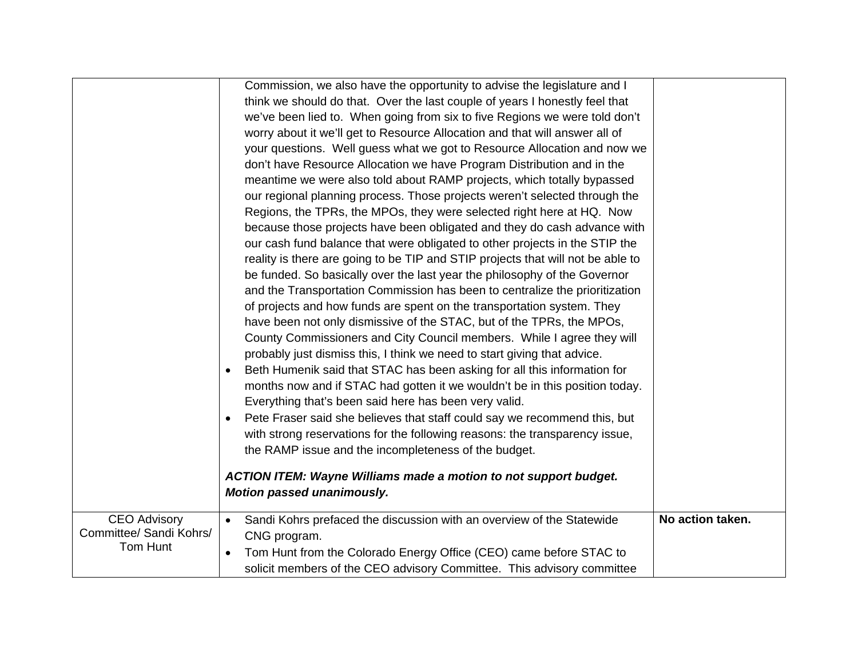|                                                            | Commission, we also have the opportunity to advise the legislature and I<br>think we should do that. Over the last couple of years I honestly feel that<br>we've been lied to. When going from six to five Regions we were told don't<br>worry about it we'll get to Resource Allocation and that will answer all of<br>your questions. Well guess what we got to Resource Allocation and now we<br>don't have Resource Allocation we have Program Distribution and in the<br>meantime we were also told about RAMP projects, which totally bypassed<br>our regional planning process. Those projects weren't selected through the<br>Regions, the TPRs, the MPOs, they were selected right here at HQ. Now<br>because those projects have been obligated and they do cash advance with<br>our cash fund balance that were obligated to other projects in the STIP the<br>reality is there are going to be TIP and STIP projects that will not be able to<br>be funded. So basically over the last year the philosophy of the Governor<br>and the Transportation Commission has been to centralize the prioritization<br>of projects and how funds are spent on the transportation system. They<br>have been not only dismissive of the STAC, but of the TPRs, the MPOs,<br>County Commissioners and City Council members. While I agree they will<br>probably just dismiss this, I think we need to start giving that advice.<br>Beth Humenik said that STAC has been asking for all this information for<br>months now and if STAC had gotten it we wouldn't be in this position today.<br>Everything that's been said here has been very valid.<br>Pete Fraser said she believes that staff could say we recommend this, but<br>$\bullet$<br>with strong reservations for the following reasons: the transparency issue,<br>the RAMP issue and the incompleteness of the budget.<br><b>ACTION ITEM: Wayne Williams made a motion to not support budget.</b><br>Motion passed unanimously. |                  |
|------------------------------------------------------------|----------------------------------------------------------------------------------------------------------------------------------------------------------------------------------------------------------------------------------------------------------------------------------------------------------------------------------------------------------------------------------------------------------------------------------------------------------------------------------------------------------------------------------------------------------------------------------------------------------------------------------------------------------------------------------------------------------------------------------------------------------------------------------------------------------------------------------------------------------------------------------------------------------------------------------------------------------------------------------------------------------------------------------------------------------------------------------------------------------------------------------------------------------------------------------------------------------------------------------------------------------------------------------------------------------------------------------------------------------------------------------------------------------------------------------------------------------------------------------------------------------------------------------------------------------------------------------------------------------------------------------------------------------------------------------------------------------------------------------------------------------------------------------------------------------------------------------------------------------------------------------------------------------------------------------------------------------------------------------------------|------------------|
| <b>CEO Advisory</b><br>Committee/ Sandi Kohrs/<br>Tom Hunt | Sandi Kohrs prefaced the discussion with an overview of the Statewide<br>CNG program.<br>Tom Hunt from the Colorado Energy Office (CEO) came before STAC to<br>$\bullet$<br>solicit members of the CEO advisory Committee. This advisory committee                                                                                                                                                                                                                                                                                                                                                                                                                                                                                                                                                                                                                                                                                                                                                                                                                                                                                                                                                                                                                                                                                                                                                                                                                                                                                                                                                                                                                                                                                                                                                                                                                                                                                                                                           | No action taken. |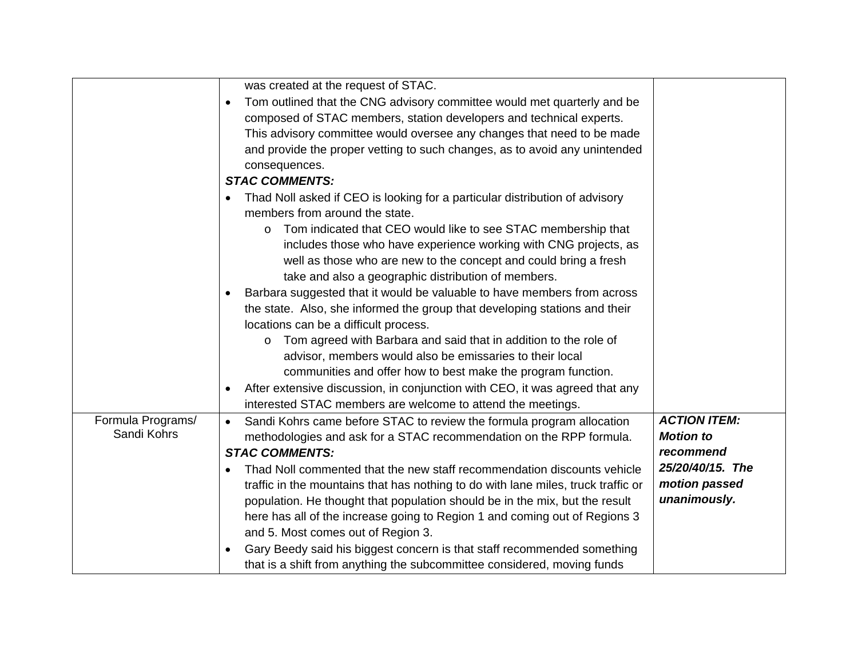|                   | was created at the request of STAC.                                                  |                     |
|-------------------|--------------------------------------------------------------------------------------|---------------------|
|                   | Tom outlined that the CNG advisory committee would met quarterly and be<br>$\bullet$ |                     |
|                   | composed of STAC members, station developers and technical experts.                  |                     |
|                   | This advisory committee would oversee any changes that need to be made               |                     |
|                   | and provide the proper vetting to such changes, as to avoid any unintended           |                     |
|                   | consequences.                                                                        |                     |
|                   | <b>STAC COMMENTS:</b>                                                                |                     |
|                   | Thad Noll asked if CEO is looking for a particular distribution of advisory          |                     |
|                   | members from around the state.                                                       |                     |
|                   | Tom indicated that CEO would like to see STAC membership that<br>O                   |                     |
|                   | includes those who have experience working with CNG projects, as                     |                     |
|                   | well as those who are new to the concept and could bring a fresh                     |                     |
|                   | take and also a geographic distribution of members.                                  |                     |
|                   | Barbara suggested that it would be valuable to have members from across              |                     |
|                   | the state. Also, she informed the group that developing stations and their           |                     |
|                   | locations can be a difficult process.                                                |                     |
|                   | Tom agreed with Barbara and said that in addition to the role of<br>$\circ$          |                     |
|                   | advisor, members would also be emissaries to their local                             |                     |
|                   | communities and offer how to best make the program function.                         |                     |
|                   | After extensive discussion, in conjunction with CEO, it was agreed that any          |                     |
|                   | interested STAC members are welcome to attend the meetings.                          |                     |
| Formula Programs/ | Sandi Kohrs came before STAC to review the formula program allocation                | <b>ACTION ITEM:</b> |
| Sandi Kohrs       | methodologies and ask for a STAC recommendation on the RPP formula.                  | <b>Motion to</b>    |
|                   | <b>STAC COMMENTS:</b>                                                                | recommend           |
|                   | Thad Noll commented that the new staff recommendation discounts vehicle              | 25/20/40/15. The    |
|                   | traffic in the mountains that has nothing to do with lane miles, truck traffic or    | motion passed       |
|                   | population. He thought that population should be in the mix, but the result          | unanimously.        |
|                   | here has all of the increase going to Region 1 and coming out of Regions 3           |                     |
|                   | and 5. Most comes out of Region 3.                                                   |                     |
|                   | Gary Beedy said his biggest concern is that staff recommended something              |                     |
|                   | that is a shift from anything the subcommittee considered, moving funds              |                     |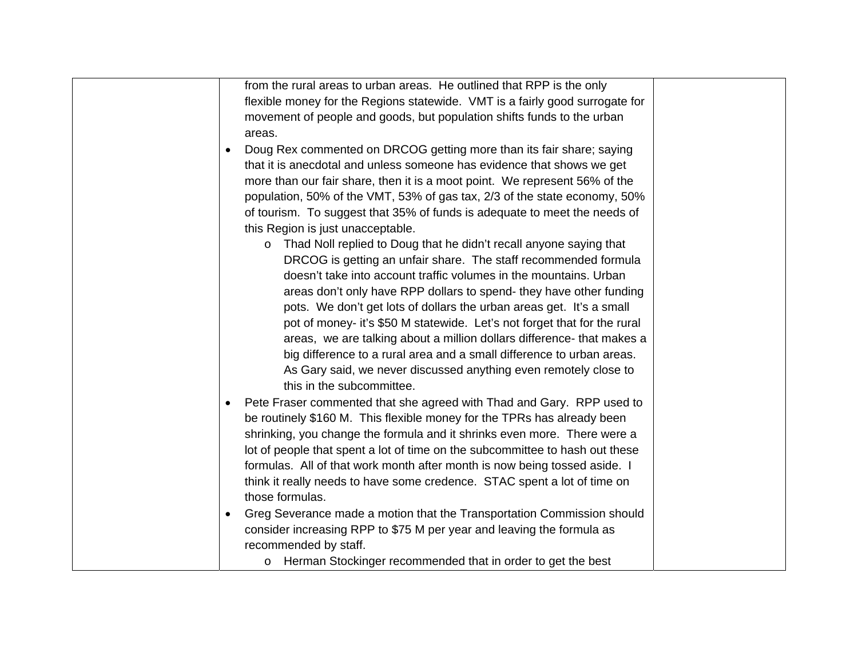| from the rural areas to urban areas. He outlined that RPP is the only               |  |
|-------------------------------------------------------------------------------------|--|
| flexible money for the Regions statewide. VMT is a fairly good surrogate for        |  |
| movement of people and goods, but population shifts funds to the urban              |  |
| areas.                                                                              |  |
| Doug Rex commented on DRCOG getting more than its fair share; saying                |  |
| that it is anecdotal and unless someone has evidence that shows we get              |  |
| more than our fair share, then it is a moot point. We represent 56% of the          |  |
| population, 50% of the VMT, 53% of gas tax, 2/3 of the state economy, 50%           |  |
| of tourism. To suggest that 35% of funds is adequate to meet the needs of           |  |
| this Region is just unacceptable.                                                   |  |
| Thad Noll replied to Doug that he didn't recall anyone saying that<br>$\circ$       |  |
| DRCOG is getting an unfair share. The staff recommended formula                     |  |
| doesn't take into account traffic volumes in the mountains. Urban                   |  |
| areas don't only have RPP dollars to spend- they have other funding                 |  |
| pots. We don't get lots of dollars the urban areas get. It's a small                |  |
| pot of money- it's \$50 M statewide. Let's not forget that for the rural            |  |
| areas, we are talking about a million dollars difference- that makes a              |  |
| big difference to a rural area and a small difference to urban areas.               |  |
| As Gary said, we never discussed anything even remotely close to                    |  |
| this in the subcommittee.                                                           |  |
| Pete Fraser commented that she agreed with Thad and Gary. RPP used to               |  |
| be routinely \$160 M. This flexible money for the TPRs has already been             |  |
| shrinking, you change the formula and it shrinks even more. There were a            |  |
| lot of people that spent a lot of time on the subcommittee to hash out these        |  |
| formulas. All of that work month after month is now being tossed aside. I           |  |
| think it really needs to have some credence. STAC spent a lot of time on            |  |
| those formulas.                                                                     |  |
| Greg Severance made a motion that the Transportation Commission should<br>$\bullet$ |  |
| consider increasing RPP to \$75 M per year and leaving the formula as               |  |
| recommended by staff.                                                               |  |
| o Herman Stockinger recommended that in order to get the best                       |  |
|                                                                                     |  |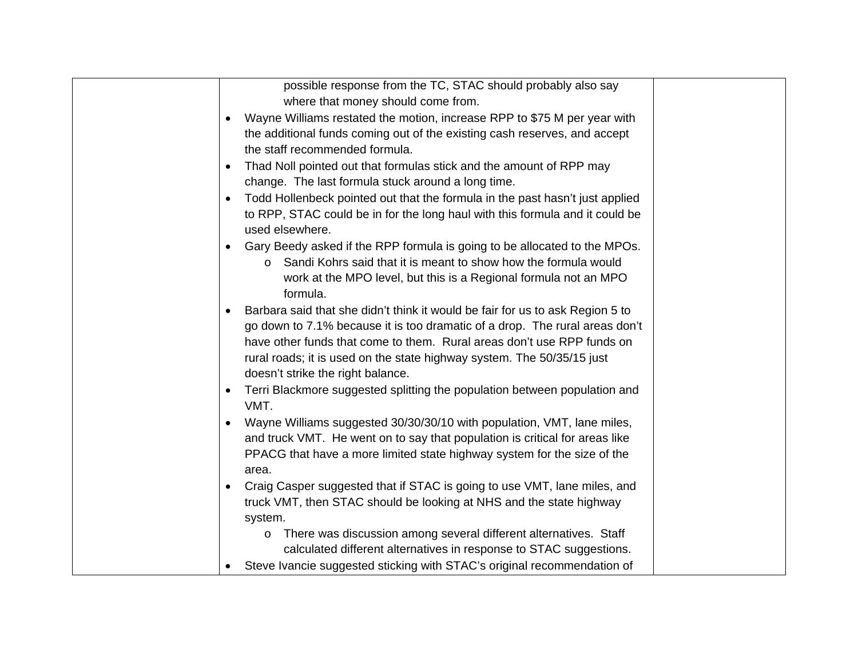| possible response from the TC, STAC should probably also say                                    |  |
|-------------------------------------------------------------------------------------------------|--|
| where that money should come from.                                                              |  |
| Wayne Williams restated the motion, increase RPP to \$75 M per year with<br>$\bullet$           |  |
| the additional funds coming out of the existing cash reserves, and accept                       |  |
| the staff recommended formula.                                                                  |  |
| Thad Noll pointed out that formulas stick and the amount of RPP may<br>$\bullet$                |  |
| change. The last formula stuck around a long time.                                              |  |
| Todd Hollenbeck pointed out that the formula in the past hasn't just applied                    |  |
| to RPP, STAC could be in for the long haul with this formula and it could be<br>used elsewhere. |  |
| Gary Beedy asked if the RPP formula is going to be allocated to the MPOs.                       |  |
| Sandi Kohrs said that it is meant to show how the formula would                                 |  |
| work at the MPO level, but this is a Regional formula not an MPO                                |  |
| formula.                                                                                        |  |
| Barbara said that she didn't think it would be fair for us to ask Region 5 to                   |  |
| go down to 7.1% because it is too dramatic of a drop. The rural areas don't                     |  |
| have other funds that come to them. Rural areas don't use RPP funds on                          |  |
| rural roads; it is used on the state highway system. The 50/35/15 just                          |  |
| doesn't strike the right balance.                                                               |  |
| Terri Blackmore suggested splitting the population between population and<br>VMT.               |  |
| Wayne Williams suggested 30/30/30/10 with population, VMT, lane miles,                          |  |
| and truck VMT. He went on to say that population is critical for areas like                     |  |
| PPACG that have a more limited state highway system for the size of the                         |  |
| area.                                                                                           |  |
| Craig Casper suggested that if STAC is going to use VMT, lane miles, and                        |  |
| truck VMT, then STAC should be looking at NHS and the state highway                             |  |
| system.                                                                                         |  |
| There was discussion among several different alternatives. Staff<br>O                           |  |
| calculated different alternatives in response to STAC suggestions.                              |  |
| Steve Ivancie suggested sticking with STAC's original recommendation of                         |  |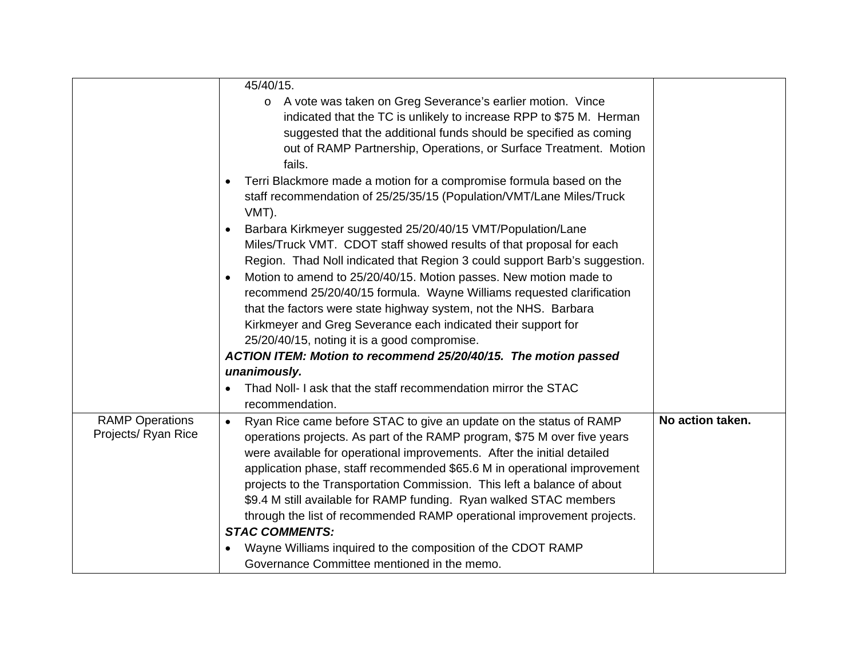|                                               | 45/40/15.                                                                                                                                                                                                                                                                                                                                                                                                                                                                                                                                                                                                                               |                  |
|-----------------------------------------------|-----------------------------------------------------------------------------------------------------------------------------------------------------------------------------------------------------------------------------------------------------------------------------------------------------------------------------------------------------------------------------------------------------------------------------------------------------------------------------------------------------------------------------------------------------------------------------------------------------------------------------------------|------------------|
|                                               | o A vote was taken on Greg Severance's earlier motion. Vince<br>indicated that the TC is unlikely to increase RPP to \$75 M. Herman<br>suggested that the additional funds should be specified as coming<br>out of RAMP Partnership, Operations, or Surface Treatment. Motion<br>fails.                                                                                                                                                                                                                                                                                                                                                 |                  |
|                                               | Terri Blackmore made a motion for a compromise formula based on the<br>staff recommendation of 25/25/35/15 (Population/VMT/Lane Miles/Truck<br>VMT).                                                                                                                                                                                                                                                                                                                                                                                                                                                                                    |                  |
|                                               | Barbara Kirkmeyer suggested 25/20/40/15 VMT/Population/Lane<br>Miles/Truck VMT. CDOT staff showed results of that proposal for each<br>Region. Thad Noll indicated that Region 3 could support Barb's suggestion.<br>Motion to amend to 25/20/40/15. Motion passes. New motion made to<br>recommend 25/20/40/15 formula. Wayne Williams requested clarification<br>that the factors were state highway system, not the NHS. Barbara<br>Kirkmeyer and Greg Severance each indicated their support for<br>25/20/40/15, noting it is a good compromise.<br>ACTION ITEM: Motion to recommend 25/20/40/15. The motion passed<br>unanimously. |                  |
|                                               | Thad Noll- I ask that the staff recommendation mirror the STAC<br>recommendation.                                                                                                                                                                                                                                                                                                                                                                                                                                                                                                                                                       |                  |
| <b>RAMP Operations</b><br>Projects/ Ryan Rice | Ryan Rice came before STAC to give an update on the status of RAMP<br>$\bullet$<br>operations projects. As part of the RAMP program, \$75 M over five years<br>were available for operational improvements. After the initial detailed<br>application phase, staff recommended \$65.6 M in operational improvement<br>projects to the Transportation Commission. This left a balance of about<br>\$9.4 M still available for RAMP funding. Ryan walked STAC members<br>through the list of recommended RAMP operational improvement projects.<br><b>STAC COMMENTS:</b><br>Wayne Williams inquired to the composition of the CDOT RAMP   | No action taken. |
|                                               | Governance Committee mentioned in the memo.                                                                                                                                                                                                                                                                                                                                                                                                                                                                                                                                                                                             |                  |